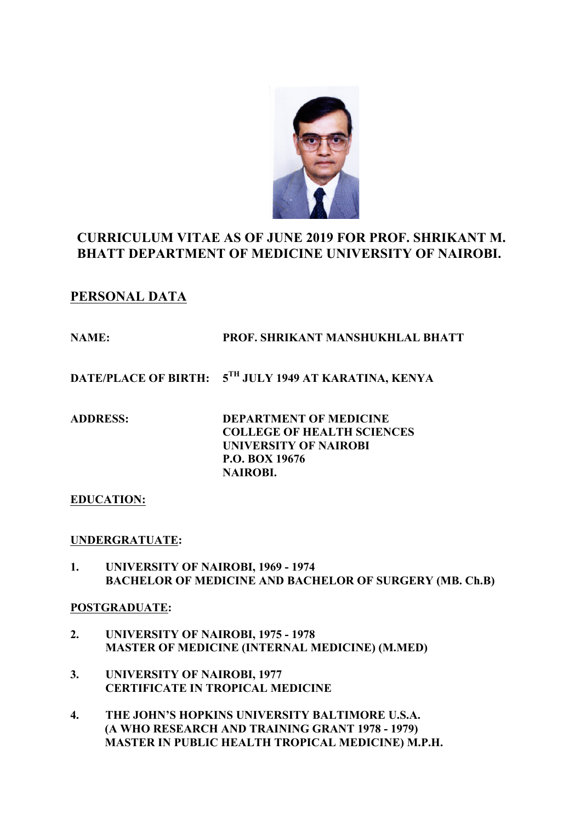

# **CURRICULUM VITAE AS OF JUNE 2019 FOR PROF. SHRIKANT M. BHATT DEPARTMENT OF MEDICINE UNIVERSITY OF NAIROBI.**

# **PERSONAL DATA**

# **NAME: PROF. SHRIKANT MANSHUKHLAL BHATT**

**DATE/PLACE OF BIRTH: 5TH JULY 1949 AT KARATINA, KENYA**

**ADDRESS: DEPARTMENT OF MEDICINE COLLEGE OF HEALTH SCIENCES UNIVERSITY OF NAIROBI P.O. BOX 19676 NAIROBI.** 

# **EDUCATION:**

# **UNDERGRATUATE:**

**1. UNIVERSITY OF NAIROBI, 1969 - 1974 BACHELOR OF MEDICINE AND BACHELOR OF SURGERY (MB. Ch.B)**

# **POSTGRADUATE:**

- **2. UNIVERSITY OF NAIROBI, 1975 - 1978 MASTER OF MEDICINE (INTERNAL MEDICINE) (M.MED)**
- **3. UNIVERSITY OF NAIROBI, 1977 CERTIFICATE IN TROPICAL MEDICINE**
- **4. THE JOHN'S HOPKINS UNIVERSITY BALTIMORE U.S.A. (A WHO RESEARCH AND TRAINING GRANT 1978 - 1979) MASTER IN PUBLIC HEALTH TROPICAL MEDICINE) M.P.H.**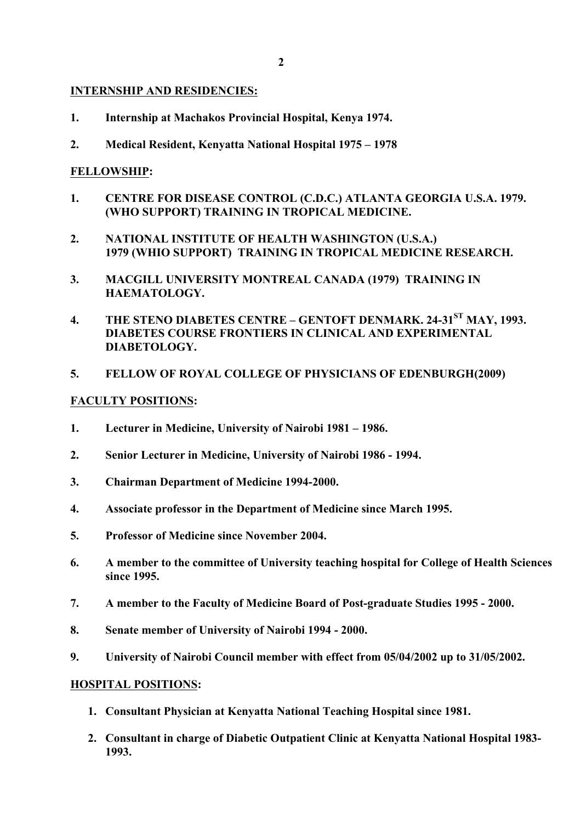#### **INTERNSHIP AND RESIDENCIES:**

- **1. Internship at Machakos Provincial Hospital, Kenya 1974.**
- **2. Medical Resident, Kenyatta National Hospital 1975 – 1978**

## **FELLOWSHIP:**

- **1. CENTRE FOR DISEASE CONTROL (C.D.C.) ATLANTA GEORGIA U.S.A. 1979. (WHO SUPPORT) TRAINING IN TROPICAL MEDICINE.**
- **2. NATIONAL INSTITUTE OF HEALTH WASHINGTON (U.S.A.) 1979 (WHIO SUPPORT) TRAINING IN TROPICAL MEDICINE RESEARCH.**
- **3. MACGILL UNIVERSITY MONTREAL CANADA (1979) TRAINING IN HAEMATOLOGY.**
- **4. THE STENO DIABETES CENTRE – GENTOFT DENMARK. 24-31ST MAY, 1993. DIABETES COURSE FRONTIERS IN CLINICAL AND EXPERIMENTAL DIABETOLOGY.**

#### **5. FELLOW OF ROYAL COLLEGE OF PHYSICIANS OF EDENBURGH(2009)**

#### **FACULTY POSITIONS:**

- **1. Lecturer in Medicine, University of Nairobi 1981 – 1986.**
- **2. Senior Lecturer in Medicine, University of Nairobi 1986 - 1994.**
- **3. Chairman Department of Medicine 1994-2000.**
- **4. Associate professor in the Department of Medicine since March 1995.**
- **5. Professor of Medicine since November 2004.**
- **6. A member to the committee of University teaching hospital for College of Health Sciences since 1995.**
- **7. A member to the Faculty of Medicine Board of Post-graduate Studies 1995 - 2000.**
- **8. Senate member of University of Nairobi 1994 - 2000.**
- **9. University of Nairobi Council member with effect from 05/04/2002 up to 31/05/2002.**

#### **HOSPITAL POSITIONS:**

- **1. Consultant Physician at Kenyatta National Teaching Hospital since 1981.**
- **2. Consultant in charge of Diabetic Outpatient Clinic at Kenyatta National Hospital 1983- 1993.**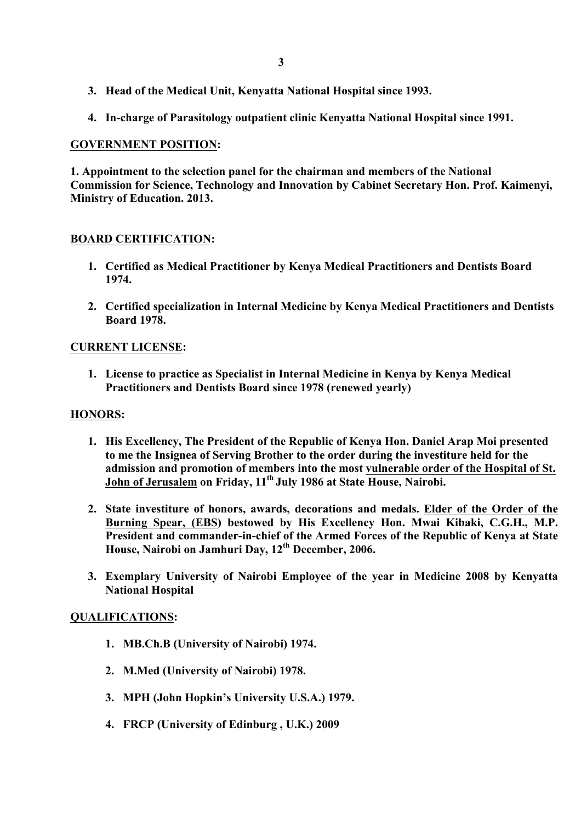- **3. Head of the Medical Unit, Kenyatta National Hospital since 1993.**
- **4. In-charge of Parasitology outpatient clinic Kenyatta National Hospital since 1991.**

## **GOVERNMENT POSITION:**

**1. Appointment to the selection panel for the chairman and members of the National Commission for Science, Technology and Innovation by Cabinet Secretary Hon. Prof. Kaimenyi, Ministry of Education. 2013.**

## **BOARD CERTIFICATION:**

- **1. Certified as Medical Practitioner by Kenya Medical Practitioners and Dentists Board 1974.**
- **2. Certified specialization in Internal Medicine by Kenya Medical Practitioners and Dentists Board 1978.**

## **CURRENT LICENSE:**

**1. License to practice as Specialist in Internal Medicine in Kenya by Kenya Medical Practitioners and Dentists Board since 1978 (renewed yearly)**

#### **HONORS:**

- **1. His Excellency, The President of the Republic of Kenya Hon. Daniel Arap Moi presented to me the Insignea of Serving Brother to the order during the investiture held for the admission and promotion of members into the most vulnerable order of the Hospital of St. John of Jerusalem on Friday, 11th July 1986 at State House, Nairobi.**
- **2. State investiture of honors, awards, decorations and medals. Elder of the Order of the Burning Spear, (EBS) bestowed by His Excellency Hon. Mwai Kibaki, C.G.H., M.P. President and commander-in-chief of the Armed Forces of the Republic of Kenya at State House, Nairobi on Jamhuri Day, 12th December, 2006.**
- **3. Exemplary University of Nairobi Employee of the year in Medicine 2008 by Kenyatta National Hospital**

#### **QUALIFICATIONS:**

- **1. MB.Ch.B (University of Nairobi) 1974.**
- **2. M.Med (University of Nairobi) 1978.**
- **3. MPH (John Hopkin's University U.S.A.) 1979.**
- **4. FRCP (University of Edinburg , U.K.) 2009**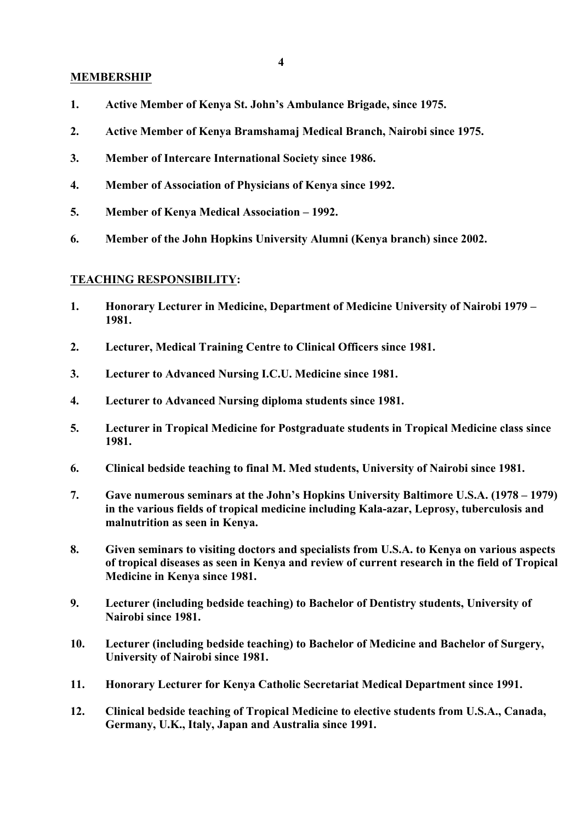#### **MEMBERSHIP**

- **1. Active Member of Kenya St. John's Ambulance Brigade, since 1975.**
- **2. Active Member of Kenya Bramshamaj Medical Branch, Nairobi since 1975.**
- **3. Member of Intercare International Society since 1986.**
- **4. Member of Association of Physicians of Kenya since 1992.**
- **5. Member of Kenya Medical Association – 1992.**
- **6. Member of the John Hopkins University Alumni (Kenya branch) since 2002.**

#### **TEACHING RESPONSIBILITY:**

- **1. Honorary Lecturer in Medicine, Department of Medicine University of Nairobi 1979 – 1981.**
- **2. Lecturer, Medical Training Centre to Clinical Officers since 1981.**
- **3. Lecturer to Advanced Nursing I.C.U. Medicine since 1981.**
- **4. Lecturer to Advanced Nursing diploma students since 1981.**
- **5. Lecturer in Tropical Medicine for Postgraduate students in Tropical Medicine class since 1981.**
- **6. Clinical bedside teaching to final M. Med students, University of Nairobi since 1981.**
- **7. Gave numerous seminars at the John's Hopkins University Baltimore U.S.A. (1978 – 1979) in the various fields of tropical medicine including Kala-azar, Leprosy, tuberculosis and malnutrition as seen in Kenya.**
- **8. Given seminars to visiting doctors and specialists from U.S.A. to Kenya on various aspects of tropical diseases as seen in Kenya and review of current research in the field of Tropical Medicine in Kenya since 1981.**
- **9. Lecturer (including bedside teaching) to Bachelor of Dentistry students, University of Nairobi since 1981.**
- **10. Lecturer (including bedside teaching) to Bachelor of Medicine and Bachelor of Surgery, University of Nairobi since 1981.**
- **11. Honorary Lecturer for Kenya Catholic Secretariat Medical Department since 1991.**
- **12. Clinical bedside teaching of Tropical Medicine to elective students from U.S.A., Canada, Germany, U.K., Italy, Japan and Australia since 1991.**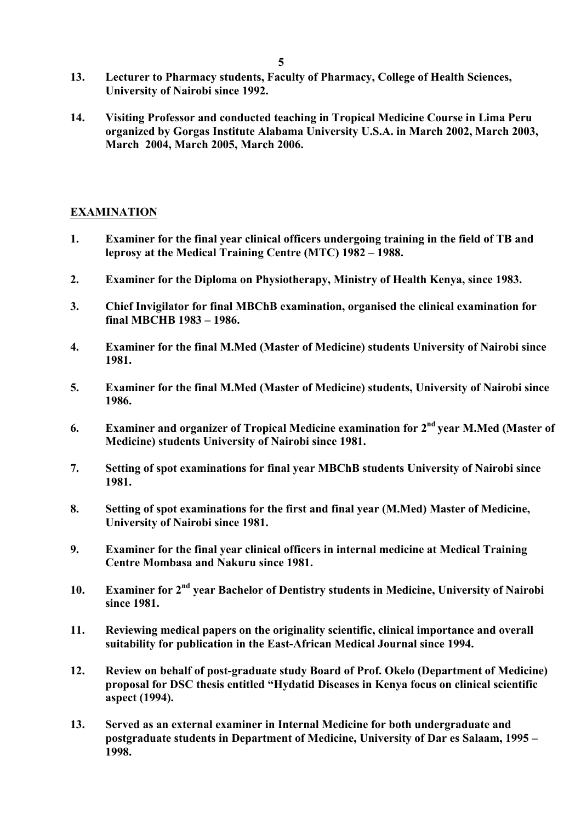- **13. Lecturer to Pharmacy students, Faculty of Pharmacy, College of Health Sciences, University of Nairobi since 1992.**
- **14. Visiting Professor and conducted teaching in Tropical Medicine Course in Lima Peru organized by Gorgas Institute Alabama University U.S.A. in March 2002, March 2003, March 2004, March 2005, March 2006.**

## **EXAMINATION**

- **1. Examiner for the final year clinical officers undergoing training in the field of TB and leprosy at the Medical Training Centre (MTC) 1982 – 1988.**
- **2. Examiner for the Diploma on Physiotherapy, Ministry of Health Kenya, since 1983.**
- **3. Chief Invigilator for final MBChB examination, organised the clinical examination for final MBCHB 1983 – 1986.**
- **4. Examiner for the final M.Med (Master of Medicine) students University of Nairobi since 1981.**
- **5. Examiner for the final M.Med (Master of Medicine) students, University of Nairobi since 1986.**
- **6. Examiner and organizer of Tropical Medicine examination for 2nd year M.Med (Master of Medicine) students University of Nairobi since 1981.**
- **7. Setting of spot examinations for final year MBChB students University of Nairobi since 1981.**
- **8. Setting of spot examinations for the first and final year (M.Med) Master of Medicine, University of Nairobi since 1981.**
- **9. Examiner for the final year clinical officers in internal medicine at Medical Training Centre Mombasa and Nakuru since 1981.**
- **10. Examiner for 2nd year Bachelor of Dentistry students in Medicine, University of Nairobi since 1981.**
- **11. Reviewing medical papers on the originality scientific, clinical importance and overall suitability for publication in the East-African Medical Journal since 1994.**
- **12. Review on behalf of post-graduate study Board of Prof. Okelo (Department of Medicine) proposal for DSC thesis entitled "Hydatid Diseases in Kenya focus on clinical scientific aspect (1994).**
- **13. Served as an external examiner in Internal Medicine for both undergraduate and postgraduate students in Department of Medicine, University of Dar es Salaam, 1995 – 1998.**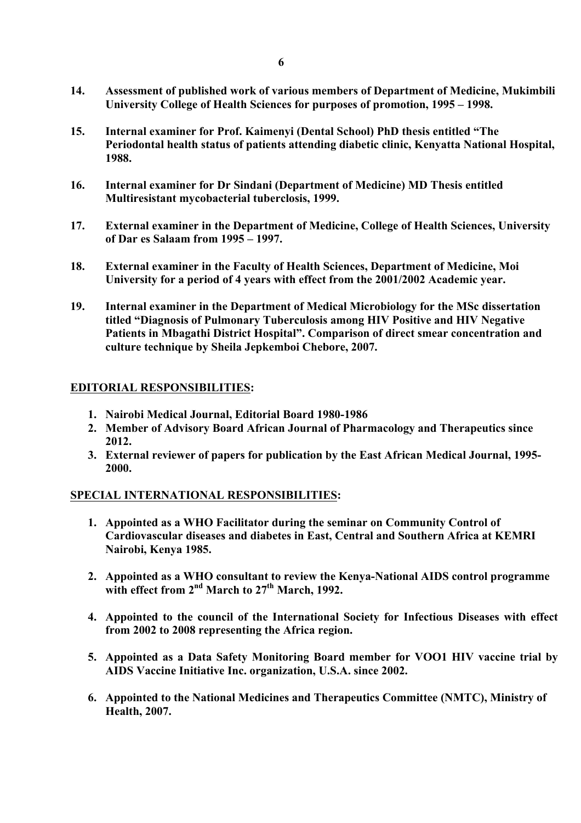- **14. Assessment of published work of various members of Department of Medicine, Mukimbili University College of Health Sciences for purposes of promotion, 1995 – 1998.**
- **15. Internal examiner for Prof. Kaimenyi (Dental School) PhD thesis entitled "The Periodontal health status of patients attending diabetic clinic, Kenyatta National Hospital, 1988.**
- **16. Internal examiner for Dr Sindani (Department of Medicine) MD Thesis entitled Multiresistant mycobacterial tuberclosis, 1999.**
- **17. External examiner in the Department of Medicine, College of Health Sciences, University of Dar es Salaam from 1995 – 1997.**
- **18. External examiner in the Faculty of Health Sciences, Department of Medicine, Moi University for a period of 4 years with effect from the 2001/2002 Academic year.**
- **19. Internal examiner in the Department of Medical Microbiology for the MSc dissertation titled "Diagnosis of Pulmonary Tuberculosis among HIV Positive and HIV Negative Patients in Mbagathi District Hospital". Comparison of direct smear concentration and culture technique by Sheila Jepkemboi Chebore, 2007.**

## **EDITORIAL RESPONSIBILITIES:**

- **1. Nairobi Medical Journal, Editorial Board 1980-1986**
- **2. Member of Advisory Board African Journal of Pharmacology and Therapeutics since 2012.**
- **3. External reviewer of papers for publication by the East African Medical Journal, 1995- 2000.**

# **SPECIAL INTERNATIONAL RESPONSIBILITIES:**

- **1. Appointed as a WHO Facilitator during the seminar on Community Control of Cardiovascular diseases and diabetes in East, Central and Southern Africa at KEMRI Nairobi, Kenya 1985.**
- **2. Appointed as a WHO consultant to review the Kenya-National AIDS control programme with effect from 2nd March to 27th March, 1992.**
- **4. Appointed to the council of the International Society for Infectious Diseases with effect from 2002 to 2008 representing the Africa region.**
- **5. Appointed as a Data Safety Monitoring Board member for VOO1 HIV vaccine trial by AIDS Vaccine Initiative Inc. organization, U.S.A. since 2002.**
- **6. Appointed to the National Medicines and Therapeutics Committee (NMTC), Ministry of Health, 2007.**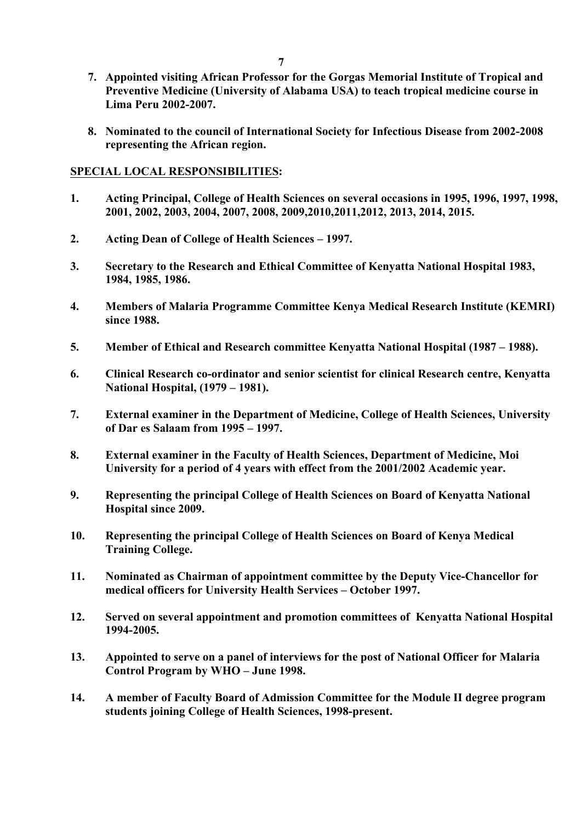- **7. Appointed visiting African Professor for the Gorgas Memorial Institute of Tropical and Preventive Medicine (University of Alabama USA) to teach tropical medicine course in Lima Peru 2002-2007.**
- **8. Nominated to the council of International Society for Infectious Disease from 2002-2008 representing the African region.**

### **SPECIAL LOCAL RESPONSIBILITIES:**

- **1. Acting Principal, College of Health Sciences on several occasions in 1995, 1996, 1997, 1998, 2001, 2002, 2003, 2004, 2007, 2008, 2009,2010,2011,2012, 2013, 2014, 2015.**
- **2. Acting Dean of College of Health Sciences – 1997.**
- **3. Secretary to the Research and Ethical Committee of Kenyatta National Hospital 1983, 1984, 1985, 1986.**
- **4. Members of Malaria Programme Committee Kenya Medical Research Institute (KEMRI) since 1988.**
- **5. Member of Ethical and Research committee Kenyatta National Hospital (1987 – 1988).**
- **6. Clinical Research co-ordinator and senior scientist for clinical Research centre, Kenyatta National Hospital, (1979 – 1981).**
- **7. External examiner in the Department of Medicine, College of Health Sciences, University of Dar es Salaam from 1995 – 1997.**
- **8. External examiner in the Faculty of Health Sciences, Department of Medicine, Moi University for a period of 4 years with effect from the 2001/2002 Academic year.**
- **9. Representing the principal College of Health Sciences on Board of Kenyatta National Hospital since 2009.**
- **10. Representing the principal College of Health Sciences on Board of Kenya Medical Training College.**
- **11. Nominated as Chairman of appointment committee by the Deputy Vice-Chancellor for medical officers for University Health Services – October 1997.**
- **12. Served on several appointment and promotion committees of Kenyatta National Hospital 1994-2005.**
- **13. Appointed to serve on a panel of interviews for the post of National Officer for Malaria Control Program by WHO – June 1998.**
- **14. A member of Faculty Board of Admission Committee for the Module II degree program students joining College of Health Sciences, 1998-present.**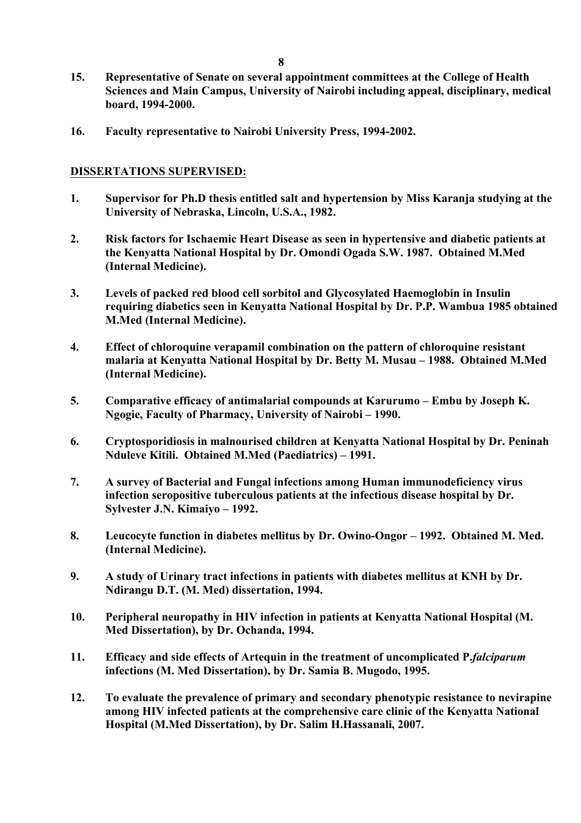- **15. Representative of Senate on several appointment committees at the College of Health Sciences and Main Campus, University of Nairobi including appeal, disciplinary, medical board, 1994-2000.**
- **16. Faculty representative to Nairobi University Press, 1994-2002.**

## **DISSERTATIONS SUPERVISED:**

- **1. Supervisor for Ph.D thesis entitled salt and hypertension by Miss Karanja studying at the University of Nebraska, Lincoln, U.S.A., 1982.**
- **2. Risk factors for Ischaemic Heart Disease as seen in hypertensive and diabetic patients at the Kenyatta National Hospital by Dr. Omondi Ogada S.W. 1987. Obtained M.Med (Internal Medicine).**
- **3. Levels of packed red blood cell sorbitol and Glycosylated Haemoglobin in Insulin requiring diabetics seen in Kenyatta National Hospital by Dr. P.P. Wambua 1985 obtained M.Med (Internal Medicine).**
- **4. Effect of chloroquine verapamil combination on the pattern of chloroquine resistant malaria at Kenyatta National Hospital by Dr. Betty M. Musau – 1988. Obtained M.Med (Internal Medicine).**
- **5. Comparative efficacy of antimalarial compounds at Karurumo – Embu by Joseph K. Ngogie, Faculty of Pharmacy, University of Nairobi – 1990.**
- **6. Cryptosporidiosis in malnourised children at Kenyatta National Hospital by Dr. Peninah Nduleve Kitili. Obtained M.Med (Paediatrics) – 1991.**
- **7. A survey of Bacterial and Fungal infections among Human immunodeficiency virus infection seropositive tuberculous patients at the infectious disease hospital by Dr. Sylvester J.N. Kimaiyo – 1992.**
- **8. Leucocyte function in diabetes mellitus by Dr. Owino-Ongor – 1992. Obtained M. Med. (Internal Medicine).**
- **9. A study of Urinary tract infections in patients with diabetes mellitus at KNH by Dr. Ndirangu D.T. (M. Med) dissertation, 1994.**
- **10. Peripheral neuropathy in HIV infection in patients at Kenyatta National Hospital (M. Med Dissertation), by Dr. Ochanda, 1994.**
- **11. Efficacy and side effects of Artequin in the treatment of uncomplicated P.***falciparum*  **infections (M. Med Dissertation), by Dr. Samia B. Mugodo, 1995.**
- **12. To evaluate the prevalence of primary and secondary phenotypic resistance to nevirapine among HIV infected patients at the comprehensive care clinic of the Kenyatta National Hospital (M.Med Dissertation), by Dr. Salim H.Hassanali, 2007.**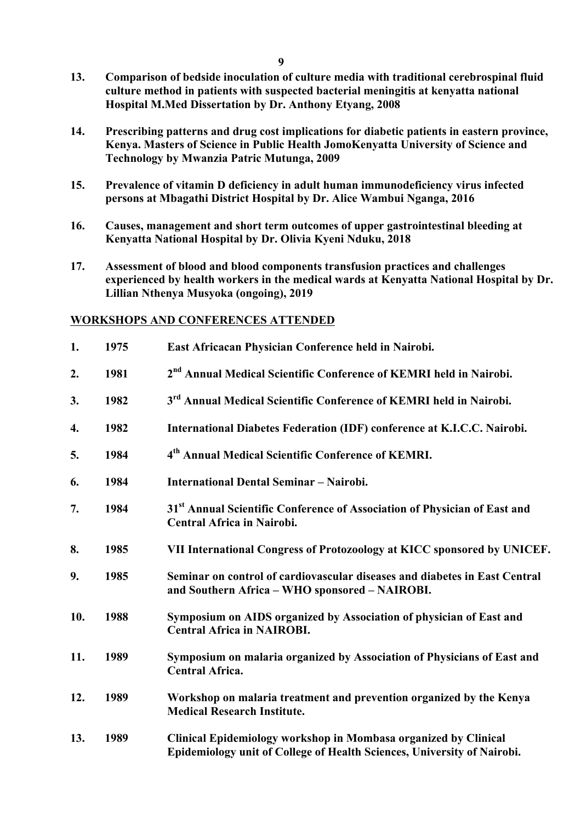- **13. Comparison of bedside inoculation of culture media with traditional cerebrospinal fluid culture method in patients with suspected bacterial meningitis at kenyatta national Hospital M.Med Dissertation by Dr. Anthony Etyang, 2008**
- **14. Prescribing patterns and drug cost implications for diabetic patients in eastern province, Kenya. Masters of Science in Public Health JomoKenyatta University of Science and Technology by Mwanzia Patric Mutunga, 2009**
- **15. Prevalence of vitamin D deficiency in adult human immunodeficiency virus infected persons at Mbagathi District Hospital by Dr. Alice Wambui Nganga, 2016**
- **16. Causes, management and short term outcomes of upper gastrointestinal bleeding at Kenyatta National Hospital by Dr. Olivia Kyeni Nduku, 2018**
- **17. Assessment of blood and blood components transfusion practices and challenges experienced by health workers in the medical wards at Kenyatta National Hospital by Dr. Lillian Nthenya Musyoka (ongoing), 2019**

## **WORKSHOPS AND CONFERENCES ATTENDED**

| 1.  | 1975 | East Africacan Physician Conference held in Nairobi.                                                                                       |
|-----|------|--------------------------------------------------------------------------------------------------------------------------------------------|
| 2.  | 1981 | 2 <sup>nd</sup> Annual Medical Scientific Conference of KEMRI held in Nairobi.                                                             |
| 3.  | 1982 | 3 <sup>rd</sup> Annual Medical Scientific Conference of KEMRI held in Nairobi.                                                             |
| 4.  | 1982 | International Diabetes Federation (IDF) conference at K.I.C.C. Nairobi.                                                                    |
| 5.  | 1984 | 4 <sup>th</sup> Annual Medical Scientific Conference of KEMRI.                                                                             |
| 6.  | 1984 | <b>International Dental Seminar - Nairobi.</b>                                                                                             |
| 7.  | 1984 | 31 <sup>st</sup> Annual Scientific Conference of Association of Physician of East and<br><b>Central Africa in Nairobi.</b>                 |
| 8.  | 1985 | VII International Congress of Protozoology at KICC sponsored by UNICEF.                                                                    |
| 9.  | 1985 | Seminar on control of cardiovascular diseases and diabetes in East Central<br>and Southern Africa - WHO sponsored - NAIROBI.               |
| 10. | 1988 | Symposium on AIDS organized by Association of physician of East and<br><b>Central Africa in NAIROBI.</b>                                   |
| 11. | 1989 | Symposium on malaria organized by Association of Physicians of East and<br><b>Central Africa.</b>                                          |
| 12. | 1989 | Workshop on malaria treatment and prevention organized by the Kenya<br><b>Medical Research Institute.</b>                                  |
| 13. | 1989 | Clinical Epidemiology workshop in Mombasa organized by Clinical<br>Epidemiology unit of College of Health Sciences, University of Nairobi. |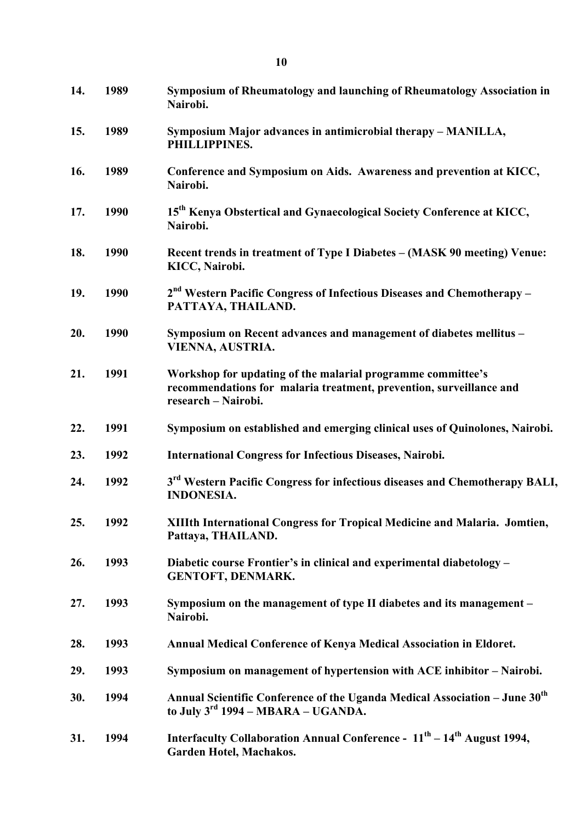| 14. | 1989 | Symposium of Rheumatology and launching of Rheumatology Association in<br>Nairobi.                                                                        |
|-----|------|-----------------------------------------------------------------------------------------------------------------------------------------------------------|
| 15. | 1989 | Symposium Major advances in antimicrobial therapy - MANILLA,<br>PHILLIPPINES.                                                                             |
| 16. | 1989 | Conference and Symposium on Aids. Awareness and prevention at KICC,<br>Nairobi.                                                                           |
| 17. | 1990 | 15 <sup>th</sup> Kenya Obstertical and Gynaecological Society Conference at KICC,<br>Nairobi.                                                             |
| 18. | 1990 | Recent trends in treatment of Type I Diabetes – (MASK 90 meeting) Venue:<br>KICC, Nairobi.                                                                |
| 19. | 1990 | $2nd$ Western Pacific Congress of Infectious Diseases and Chemotherapy –<br>PATTAYA, THAILAND.                                                            |
| 20. | 1990 | Symposium on Recent advances and management of diabetes mellitus -<br>VIENNA, AUSTRIA.                                                                    |
| 21. | 1991 | Workshop for updating of the malarial programme committee's<br>recommendations for malaria treatment, prevention, surveillance and<br>research - Nairobi. |
| 22. | 1991 | Symposium on established and emerging clinical uses of Quinolones, Nairobi.                                                                               |
| 23. | 1992 | <b>International Congress for Infectious Diseases, Nairobi.</b>                                                                                           |
| 24. | 1992 | 3 <sup>rd</sup> Western Pacific Congress for infectious diseases and Chemotherapy BALI,<br><b>INDONESIA.</b>                                              |
| 25. | 1992 | XIIIth International Congress for Tropical Medicine and Malaria. Jomtien,<br>Pattaya, THAILAND.                                                           |
| 26. | 1993 | Diabetic course Frontier's in clinical and experimental diabetology –<br><b>GENTOFT, DENMARK.</b>                                                         |
| 27. | 1993 | Symposium on the management of type II diabetes and its management -<br>Nairobi.                                                                          |
| 28. | 1993 | Annual Medical Conference of Kenya Medical Association in Eldoret.                                                                                        |
| 29. | 1993 | Symposium on management of hypertension with ACE inhibitor – Nairobi.                                                                                     |
| 30. | 1994 | Annual Scientific Conference of the Uganda Medical Association - June 30 <sup>th</sup><br>to July $3^{\text{rd}}$ 1994 – MBARA – UGANDA.                  |
| 31. | 1994 | Interfaculty Collaboration Annual Conference - $11th - 14th$ August 1994,<br>Garden Hotel, Machakos.                                                      |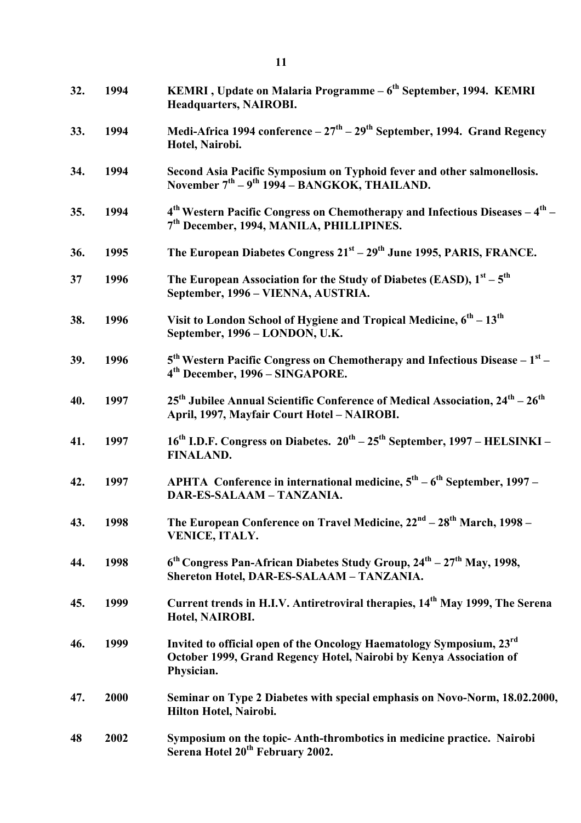| 32. | 1994 | KEMRI, Update on Malaria Programme - 6 <sup>th</sup> September, 1994. KEMRI<br><b>Headquarters, NAIROBI.</b>                                             |
|-----|------|----------------------------------------------------------------------------------------------------------------------------------------------------------|
| 33. | 1994 | Medi-Africa 1994 conference $-27th - 29th$ September, 1994. Grand Regency<br>Hotel, Nairobi.                                                             |
| 34. | 1994 | Second Asia Pacific Symposium on Typhoid fever and other salmonellosis.<br>November $7th - 9th$ 1994 – BANGKOK, THAILAND.                                |
| 35. | 1994 | $4th$ Western Pacific Congress on Chemotherapy and Infectious Diseases $-4th$ –<br>7 <sup>th</sup> December, 1994, MANILA, PHILLIPINES.                  |
| 36. | 1995 | The European Diabetes Congress 21 <sup>st</sup> – 29 <sup>th</sup> June 1995, PARIS, FRANCE.                                                             |
| 37  | 1996 | The European Association for the Study of Diabetes (EASD), $1^{st} - 5^{th}$<br>September, 1996 - VIENNA, AUSTRIA.                                       |
| 38. | 1996 | Visit to London School of Hygiene and Tropical Medicine, $6^{\text{th}} - 13^{\text{th}}$<br>September, 1996 - LONDON, U.K.                              |
| 39. | 1996 | $5th$ Western Pacific Congress on Chemotherapy and Infectious Disease – $1st$ –<br>4 <sup>th</sup> December, 1996 - SINGAPORE.                           |
| 40. | 1997 | $25th$ Jubilee Annual Scientific Conference of Medical Association, $24th - 26th$<br>April, 1997, Mayfair Court Hotel - NAIROBI.                         |
| 41. | 1997 | 16 <sup>th</sup> I.D.F. Congress on Diabetes. 20 <sup>th</sup> – 25 <sup>th</sup> September, 1997 – HELSINKI –<br><b>FINALAND.</b>                       |
| 42. | 1997 | APHTA Conference in international medicine, $5^{th} - 6^{th}$ September, 1997 –<br>DAR-ES-SALAAM - TANZANIA.                                             |
| 43. | 1998 | The European Conference on Travel Medicine, 22 <sup>nd</sup> – 28 <sup>th</sup> March, 1998 –<br>VENICE, ITALY.                                          |
| 44. | 1998 | $6th$ Congress Pan-African Diabetes Study Group, $24th - 27th$ May, 1998,<br>Shereton Hotel, DAR-ES-SALAAM - TANZANIA.                                   |
| 45. | 1999 | Current trends in H.I.V. Antiretroviral therapies, 14 <sup>th</sup> May 1999, The Serena<br>Hotel, NAIROBI.                                              |
| 46. | 1999 | Invited to official open of the Oncology Haematology Symposium, 23rd<br>October 1999, Grand Regency Hotel, Nairobi by Kenya Association of<br>Physician. |
| 47. | 2000 | Seminar on Type 2 Diabetes with special emphasis on Novo-Norm, 18.02.2000,<br>Hilton Hotel, Nairobi.                                                     |
| 48  | 2002 | Symposium on the topic-Anth-thrombotics in medicine practice. Nairobi<br>Serena Hotel 20 <sup>th</sup> February 2002.                                    |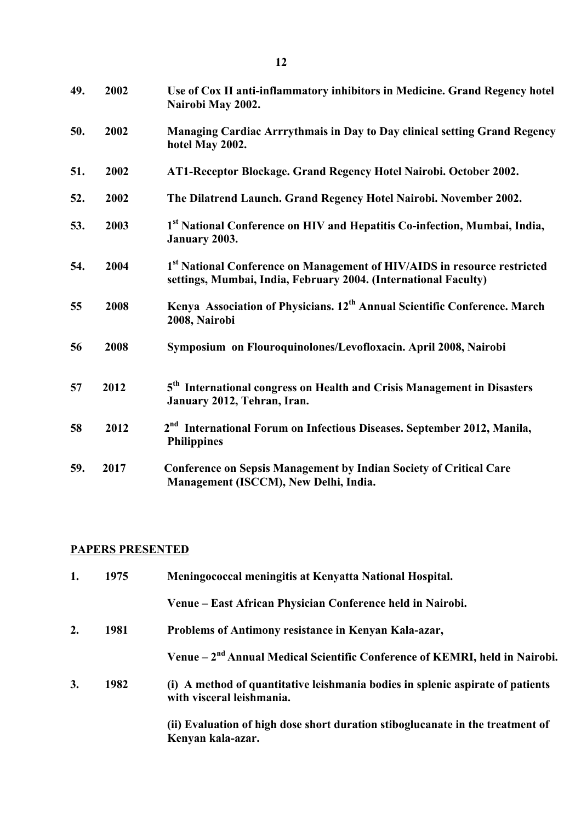| 49. | 2002 | Use of Cox II anti-inflammatory inhibitors in Medicine. Grand Regency hotel<br>Nairobi May 2002.                                            |
|-----|------|---------------------------------------------------------------------------------------------------------------------------------------------|
| 50. | 2002 | Managing Cardiac Arrrythmais in Day to Day clinical setting Grand Regency<br>hotel May 2002.                                                |
| 51. | 2002 | AT1-Receptor Blockage. Grand Regency Hotel Nairobi. October 2002.                                                                           |
| 52. | 2002 | The Dilatrend Launch. Grand Regency Hotel Nairobi. November 2002.                                                                           |
| 53. | 2003 | 1st National Conference on HIV and Hepatitis Co-infection, Mumbai, India,<br>January 2003.                                                  |
| 54. | 2004 | 1st National Conference on Management of HIV/AIDS in resource restricted<br>settings, Mumbai, India, February 2004. (International Faculty) |
| 55  | 2008 | Kenya Association of Physicians. 12 <sup>th</sup> Annual Scientific Conference. March<br>2008, Nairobi                                      |
| 56  | 2008 | Symposium on Flouroquinolones/Levofloxacin. April 2008, Nairobi                                                                             |
| 57  | 2012 | 5 <sup>th</sup> International congress on Health and Crisis Management in Disasters<br>January 2012, Tehran, Iran.                          |
| 58  | 2012 | 2 <sup>nd</sup> International Forum on Infectious Diseases. September 2012, Manila,<br><b>Philippines</b>                                   |
| 59. | 2017 | <b>Conference on Sepsis Management by Indian Society of Critical Care</b>                                                                   |

## **PAPERS PRESENTED**

| 1. | 1975 | Meningococcal meningitis at Kenyatta National Hospital.                                                     |
|----|------|-------------------------------------------------------------------------------------------------------------|
|    |      | Venue – East African Physician Conference held in Nairobi.                                                  |
| 2. | 1981 | Problems of Antimony resistance in Kenyan Kala-azar,                                                        |
|    |      | Venue – 2 <sup>nd</sup> Annual Medical Scientific Conference of KEMRI, held in Nairobi.                     |
| 3. | 1982 | (i) A method of quantitative leishmania bodies in splenic aspirate of patients<br>with visceral leishmania. |
|    |      | (ii) Evaluation of high dose short duration stiboglucanate in the treatment of<br>Kenyan kala-azar.         |

**Management (ISCCM), New Delhi, India.**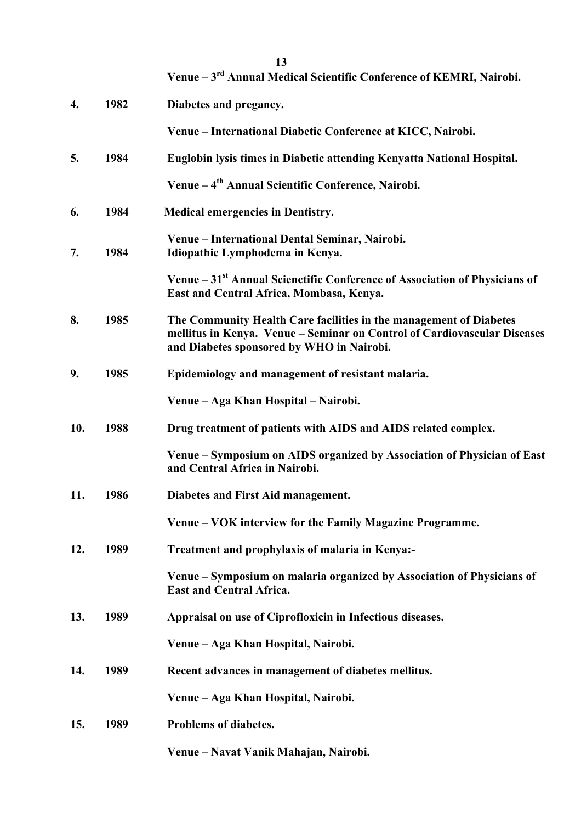|     |      | 13<br>Venue - 3 <sup>rd</sup> Annual Medical Scientific Conference of KEMRI, Nairobi.                                                                                                       |
|-----|------|---------------------------------------------------------------------------------------------------------------------------------------------------------------------------------------------|
| 4.  | 1982 | Diabetes and pregancy.                                                                                                                                                                      |
|     |      | Venue - International Diabetic Conference at KICC, Nairobi.                                                                                                                                 |
| 5.  | 1984 | Euglobin lysis times in Diabetic attending Kenyatta National Hospital.                                                                                                                      |
|     |      | Venue – 4 <sup>th</sup> Annual Scientific Conference, Nairobi.                                                                                                                              |
| 6.  | 1984 | <b>Medical emergencies in Dentistry.</b>                                                                                                                                                    |
| 7.  | 1984 | Venue - International Dental Seminar, Nairobi.<br>Idiopathic Lymphodema in Kenya.                                                                                                           |
|     |      | Venue - 31 <sup>st</sup> Annual Scienctific Conference of Association of Physicians of<br>East and Central Africa, Mombasa, Kenya.                                                          |
| 8.  | 1985 | The Community Health Care facilities in the management of Diabetes<br>mellitus in Kenya. Venue - Seminar on Control of Cardiovascular Diseases<br>and Diabetes sponsored by WHO in Nairobi. |
| 9.  | 1985 | Epidemiology and management of resistant malaria.                                                                                                                                           |
|     |      | Venue – Aga Khan Hospital – Nairobi.                                                                                                                                                        |
| 10. | 1988 | Drug treatment of patients with AIDS and AIDS related complex.                                                                                                                              |
|     |      | Venue – Symposium on AIDS organized by Association of Physician of East<br>and Central Africa in Nairobi.                                                                                   |
| 11. | 1986 | Diabetes and First Aid management.                                                                                                                                                          |
|     |      | Venue – VOK interview for the Family Magazine Programme.                                                                                                                                    |
| 12. | 1989 | Treatment and prophylaxis of malaria in Kenya:-                                                                                                                                             |
|     |      | Venue – Symposium on malaria organized by Association of Physicians of<br><b>East and Central Africa.</b>                                                                                   |
| 13. | 1989 | Appraisal on use of Ciprofloxicin in Infectious diseases.                                                                                                                                   |
|     |      | Venue – Aga Khan Hospital, Nairobi.                                                                                                                                                         |
| 14. | 1989 | Recent advances in management of diabetes mellitus.                                                                                                                                         |
|     |      | Venue - Aga Khan Hospital, Nairobi.                                                                                                                                                         |
| 15. | 1989 | Problems of diabetes.                                                                                                                                                                       |
|     |      | Venue – Navat Vanik Mahajan, Nairobi.                                                                                                                                                       |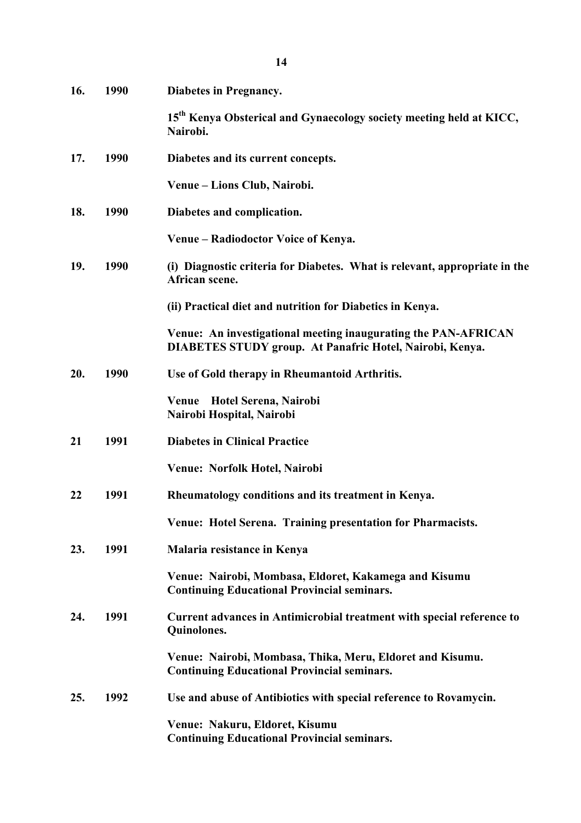| 16. | 1990 | Diabetes in Pregnancy.                                                                                                     |
|-----|------|----------------------------------------------------------------------------------------------------------------------------|
|     |      | 15 <sup>th</sup> Kenya Obsterical and Gynaecology society meeting held at KICC,<br>Nairobi.                                |
| 17. | 1990 | Diabetes and its current concepts.                                                                                         |
|     |      | Venue – Lions Club, Nairobi.                                                                                               |
| 18. | 1990 | Diabetes and complication.                                                                                                 |
|     |      | Venue – Radiodoctor Voice of Kenya.                                                                                        |
| 19. | 1990 | (i) Diagnostic criteria for Diabetes. What is relevant, appropriate in the<br>African scene.                               |
|     |      | (ii) Practical diet and nutrition for Diabetics in Kenya.                                                                  |
|     |      | Venue: An investigational meeting inaugurating the PAN-AFRICAN<br>DIABETES STUDY group. At Panafric Hotel, Nairobi, Kenya. |
| 20. | 1990 | Use of Gold therapy in Rheumantoid Arthritis.                                                                              |
|     |      | Venue Hotel Serena, Nairobi<br>Nairobi Hospital, Nairobi                                                                   |
| 21  | 1991 | <b>Diabetes in Clinical Practice</b>                                                                                       |
|     |      | Venue: Norfolk Hotel, Nairobi                                                                                              |
| 22  | 1991 | Rheumatology conditions and its treatment in Kenya.                                                                        |
|     |      | Venue: Hotel Serena. Training presentation for Pharmacists.                                                                |
| 23. | 1991 | Malaria resistance in Kenya                                                                                                |
|     |      | Venue: Nairobi, Mombasa, Eldoret, Kakamega and Kisumu<br><b>Continuing Educational Provincial seminars.</b>                |
| 24. | 1991 | Current advances in Antimicrobial treatment with special reference to<br>Quinolones.                                       |
|     |      | Venue: Nairobi, Mombasa, Thika, Meru, Eldoret and Kisumu.<br><b>Continuing Educational Provincial seminars.</b>            |
| 25. | 1992 | Use and abuse of Antibiotics with special reference to Rovamycin.                                                          |
|     |      | Venue: Nakuru, Eldoret, Kisumu<br><b>Continuing Educational Provincial seminars.</b>                                       |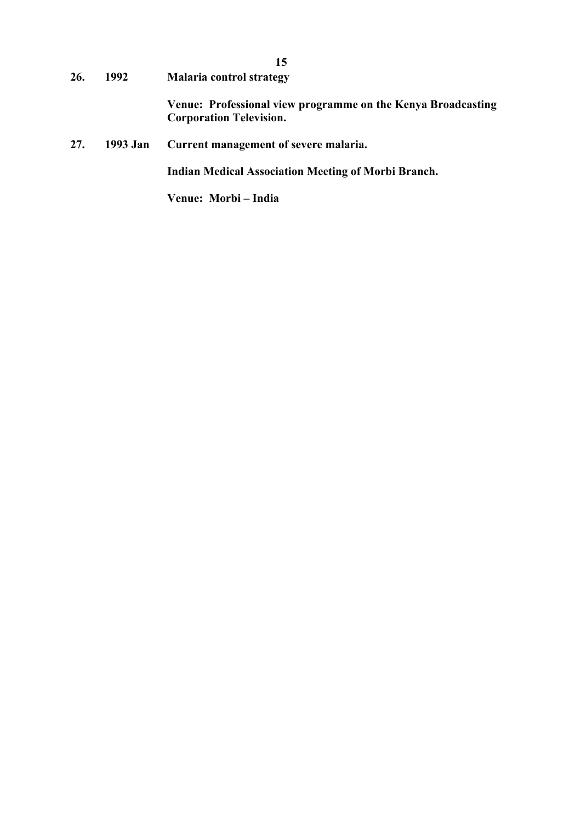**26. 1992 Malaria control strategy Venue: Professional view programme on the Kenya Broadcasting Corporation Television.**

**15**

**27. 1993 Jan Current management of severe malaria.**

**Indian Medical Association Meeting of Morbi Branch.**

**Venue: Morbi – India**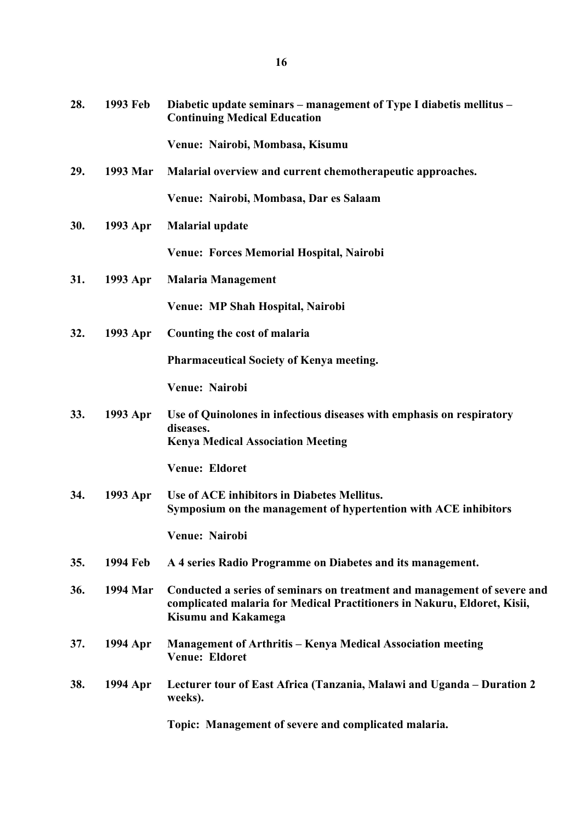| 28. | 1993 Feb        | Diabetic update seminars – management of Type I diabetis mellitus –<br><b>Continuing Medical Education</b>                                                                         |
|-----|-----------------|------------------------------------------------------------------------------------------------------------------------------------------------------------------------------------|
|     |                 | Venue: Nairobi, Mombasa, Kisumu                                                                                                                                                    |
| 29. | 1993 Mar        | Malarial overview and current chemotherapeutic approaches.                                                                                                                         |
|     |                 | Venue: Nairobi, Mombasa, Dar es Salaam                                                                                                                                             |
| 30. | 1993 Apr        | <b>Malarial update</b>                                                                                                                                                             |
|     |                 | <b>Venue: Forces Memorial Hospital, Nairobi</b>                                                                                                                                    |
| 31. | 1993 Apr        | <b>Malaria Management</b>                                                                                                                                                          |
|     |                 | Venue: MP Shah Hospital, Nairobi                                                                                                                                                   |
| 32. | 1993 Apr        | Counting the cost of malaria                                                                                                                                                       |
|     |                 | Pharmaceutical Society of Kenya meeting.                                                                                                                                           |
|     |                 | Venue: Nairobi                                                                                                                                                                     |
| 33. | 1993 Apr        | Use of Quinolones in infectious diseases with emphasis on respiratory<br>diseases.<br><b>Kenya Medical Association Meeting</b>                                                     |
|     |                 | Venue: Eldoret                                                                                                                                                                     |
| 34. | 1993 Apr        | Use of ACE inhibitors in Diabetes Mellitus.<br>Symposium on the management of hypertention with ACE inhibitors                                                                     |
|     |                 | Venue: Nairobi                                                                                                                                                                     |
| 35. | <b>1994 Feb</b> | A 4 series Radio Programme on Diabetes and its management.                                                                                                                         |
| 36. | 1994 Mar        | Conducted a series of seminars on treatment and management of severe and<br>complicated malaria for Medical Practitioners in Nakuru, Eldoret, Kisii,<br><b>Kisumu and Kakamega</b> |
| 37. | 1994 Apr        | <b>Management of Arthritis - Kenya Medical Association meeting</b><br>Venue: Eldoret                                                                                               |
| 38. | 1994 Apr        | Lecturer tour of East Africa (Tanzania, Malawi and Uganda – Duration 2<br>weeks).                                                                                                  |
|     |                 | Topic: Management of severe and complicated malaria.                                                                                                                               |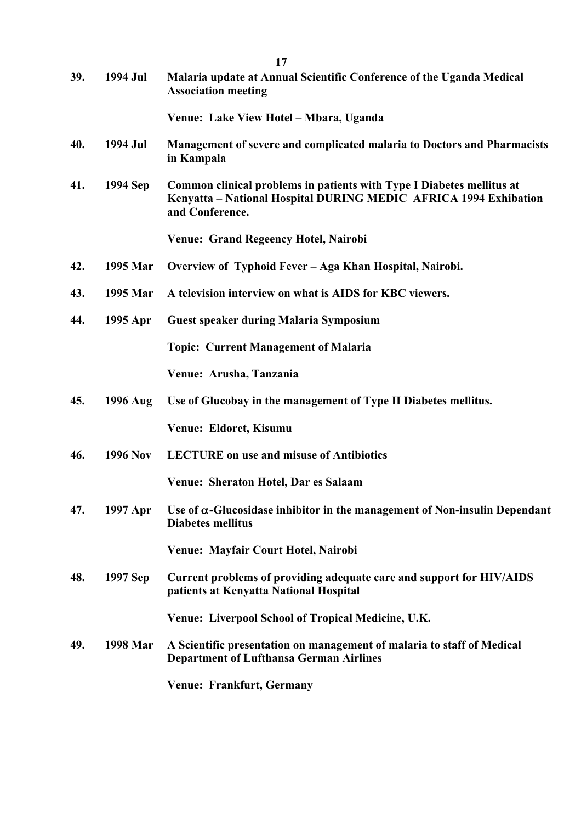| 39. | 1994 Jul        | Malaria update at Annual Scientific Conference of the Uganda Medical<br><b>Association meeting</b>                                                           |
|-----|-----------------|--------------------------------------------------------------------------------------------------------------------------------------------------------------|
|     |                 | Venue: Lake View Hotel - Mbara, Uganda                                                                                                                       |
| 40. | 1994 Jul        | <b>Management of severe and complicated malaria to Doctors and Pharmacists</b><br>in Kampala                                                                 |
| 41. | 1994 Sep        | Common clinical problems in patients with Type I Diabetes mellitus at<br>Kenyatta – National Hospital DURING MEDIC AFRICA 1994 Exhibation<br>and Conference. |
|     |                 | <b>Venue: Grand Regeency Hotel, Nairobi</b>                                                                                                                  |
| 42. | 1995 Mar        | Overview of Typhoid Fever - Aga Khan Hospital, Nairobi.                                                                                                      |
| 43. | 1995 Mar        | A television interview on what is AIDS for KBC viewers.                                                                                                      |
| 44. | 1995 Apr        | <b>Guest speaker during Malaria Symposium</b>                                                                                                                |
|     |                 | <b>Topic: Current Management of Malaria</b>                                                                                                                  |
|     |                 | Venue: Arusha, Tanzania                                                                                                                                      |
| 45. | 1996 Aug        | Use of Glucobay in the management of Type II Diabetes mellitus.                                                                                              |
|     |                 | Venue: Eldoret, Kisumu                                                                                                                                       |
| 46. | <b>1996 Nov</b> | <b>LECTURE</b> on use and misuse of Antibiotics                                                                                                              |
|     |                 | Venue: Sheraton Hotel, Dar es Salaam                                                                                                                         |
| 47. | 1997 Apr        | Use of $\alpha$ -Glucosidase inhibitor in the management of Non-insulin Dependant<br><b>Diabetes mellitus</b>                                                |
|     |                 | Venue: Mayfair Court Hotel, Nairobi                                                                                                                          |
| 48. | 1997 Sep        | Current problems of providing adequate care and support for HIV/AIDS<br>patients at Kenyatta National Hospital                                               |
|     |                 | Venue: Liverpool School of Tropical Medicine, U.K.                                                                                                           |
| 49. | 1998 Mar        | A Scientific presentation on management of malaria to staff of Medical<br><b>Department of Lufthansa German Airlines</b>                                     |
|     |                 | Venue: Frankfurt, Germany                                                                                                                                    |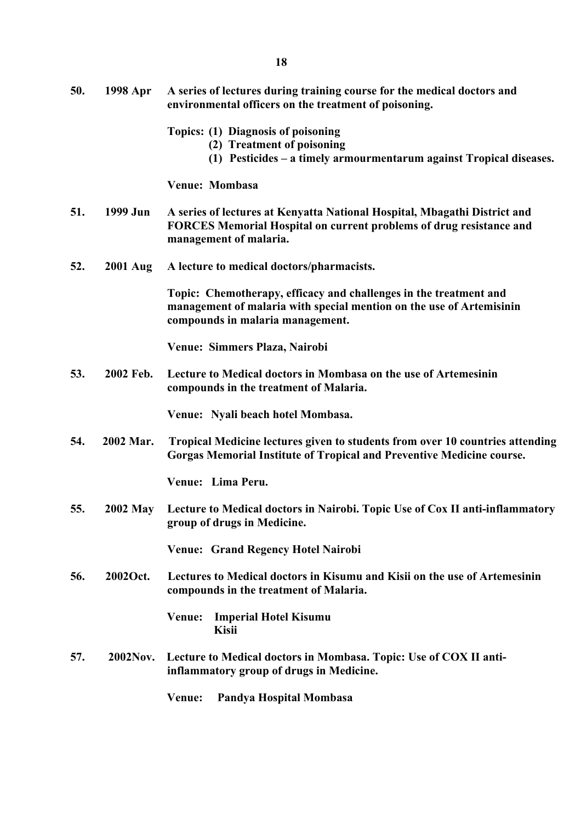- **50. 1998 Apr A series of lectures during training course for the medical doctors and environmental officers on the treatment of poisoning.**
	- **Topics: (1) Diagnosis of poisoning**
		- **(2) Treatment of poisoning**
		- **(1) Pesticides – a timely armourmentarum against Tropical diseases.**

**Venue: Mombasa**

- **51. 1999 Jun A series of lectures at Kenyatta National Hospital, Mbagathi District and FORCES Memorial Hospital on current problems of drug resistance and management of malaria.**
- **52. 2001 Aug A lecture to medical doctors/pharmacists.**

**Topic: Chemotherapy, efficacy and challenges in the treatment and management of malaria with special mention on the use of Artemisinin compounds in malaria management.**

**Venue: Simmers Plaza, Nairobi**

**53. 2002 Feb. Lecture to Medical doctors in Mombasa on the use of Artemesinin compounds in the treatment of Malaria.**

**Venue: Nyali beach hotel Mombasa.**

**54. 2002 Mar. Tropical Medicine lectures given to students from over 10 countries attending Gorgas Memorial Institute of Tropical and Preventive Medicine course.**

 **Venue: Lima Peru.** 

**55. 2002 May Lecture to Medical doctors in Nairobi. Topic Use of Cox II anti-inflammatory group of drugs in Medicine.**

**Venue: Grand Regency Hotel Nairobi**

**56. 2002Oct. Lectures to Medical doctors in Kisumu and Kisii on the use of Artemesinin compounds in the treatment of Malaria.**

> **Venue: Imperial Hotel Kisumu Kisii**

**57. 2002Nov. Lecture to Medical doctors in Mombasa. Topic: Use of COX II antiinflammatory group of drugs in Medicine.**

 **Venue: Pandya Hospital Mombasa**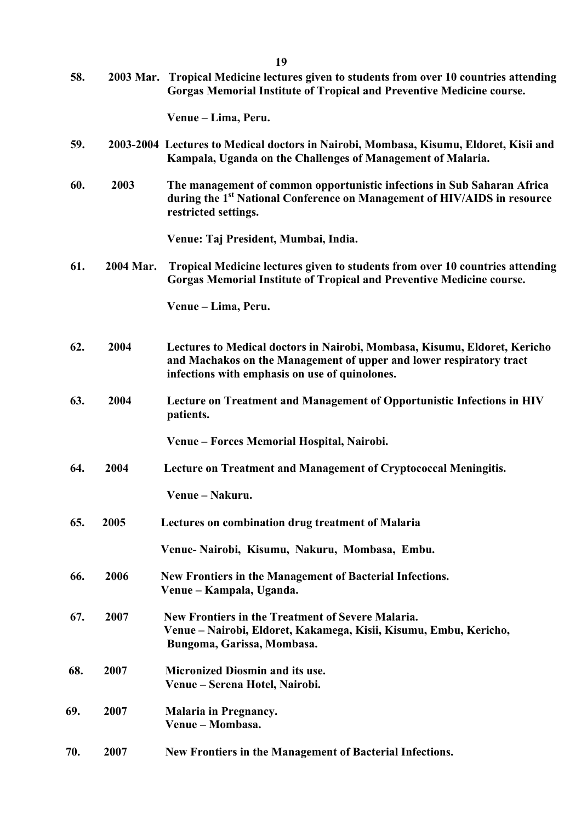| 58. |           | 2003 Mar. Tropical Medicine lectures given to students from over 10 countries attending<br>Gorgas Memorial Institute of Tropical and Preventive Medicine course.                                   |
|-----|-----------|----------------------------------------------------------------------------------------------------------------------------------------------------------------------------------------------------|
|     |           | Venue - Lima, Peru.                                                                                                                                                                                |
| 59. |           | 2003-2004 Lectures to Medical doctors in Nairobi, Mombasa, Kisumu, Eldoret, Kisii and<br>Kampala, Uganda on the Challenges of Management of Malaria.                                               |
| 60. | 2003      | The management of common opportunistic infections in Sub Saharan Africa<br>during the 1 <sup>st</sup> National Conference on Management of HIV/AIDS in resource<br>restricted settings.            |
|     |           | Venue: Taj President, Mumbai, India.                                                                                                                                                               |
| 61. | 2004 Mar. | Tropical Medicine lectures given to students from over 10 countries attending<br>Gorgas Memorial Institute of Tropical and Preventive Medicine course.                                             |
|     |           | Venue – Lima, Peru.                                                                                                                                                                                |
| 62. | 2004      | Lectures to Medical doctors in Nairobi, Mombasa, Kisumu, Eldoret, Kericho<br>and Machakos on the Management of upper and lower respiratory tract<br>infections with emphasis on use of quinolones. |
| 63. | 2004      | Lecture on Treatment and Management of Opportunistic Infections in HIV<br>patients.                                                                                                                |
|     |           | Venue – Forces Memorial Hospital, Nairobi.                                                                                                                                                         |
| 64. | 2004      | Lecture on Treatment and Management of Cryptococcal Meningitis.                                                                                                                                    |
|     |           | Venue - Nakuru.                                                                                                                                                                                    |
| 65. | 2005      | Lectures on combination drug treatment of Malaria                                                                                                                                                  |
|     |           | Venue-Nairobi, Kisumu, Nakuru, Mombasa, Embu.                                                                                                                                                      |
| 66. | 2006      | New Frontiers in the Management of Bacterial Infections.<br>Venue – Kampala, Uganda.                                                                                                               |
| 67. | 2007      | New Frontiers in the Treatment of Severe Malaria.<br>Venue – Nairobi, Eldoret, Kakamega, Kisii, Kisumu, Embu, Kericho,<br>Bungoma, Garissa, Mombasa.                                               |
| 68. | 2007      | <b>Micronized Diosmin and its use.</b><br>Venue – Serena Hotel, Nairobi.                                                                                                                           |
| 69. | 2007      | <b>Malaria in Pregnancy.</b><br>Venue - Mombasa.                                                                                                                                                   |
| 70. | 2007      | New Frontiers in the Management of Bacterial Infections.                                                                                                                                           |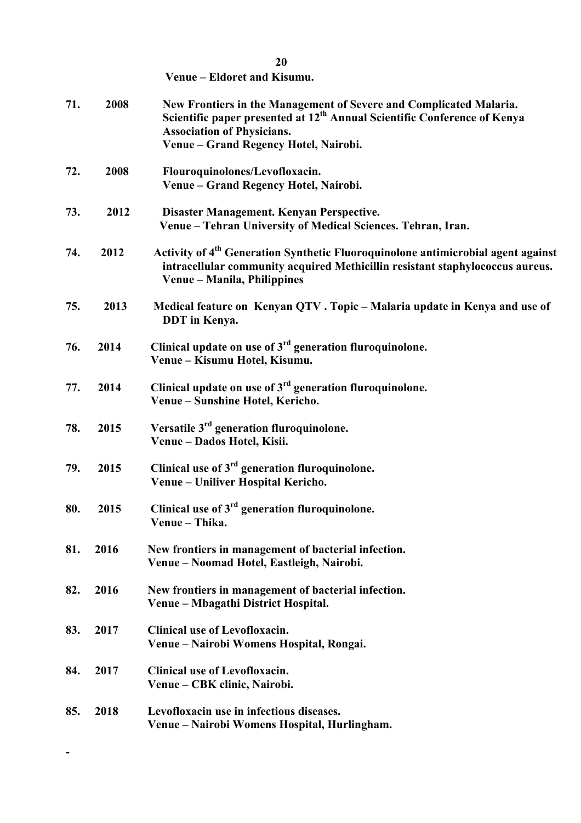**Venue – Eldoret and Kisumu.**

**-**

| 71. | 2008 | New Frontiers in the Management of Severe and Complicated Malaria.<br>Scientific paper presented at 12 <sup>th</sup> Annual Scientific Conference of Kenya<br><b>Association of Physicians.</b><br>Venue - Grand Regency Hotel, Nairobi. |
|-----|------|------------------------------------------------------------------------------------------------------------------------------------------------------------------------------------------------------------------------------------------|
| 72. | 2008 | Flouroquinolones/Levofloxacin.<br>Venue – Grand Regency Hotel, Nairobi.                                                                                                                                                                  |
| 73. | 2012 | Disaster Management. Kenyan Perspective.<br>Venue - Tehran University of Medical Sciences. Tehran, Iran.                                                                                                                                 |
| 74. | 2012 | Activity of 4 <sup>th</sup> Generation Synthetic Fluoroquinolone antimicrobial agent against<br>intracellular community acquired Methicillin resistant staphylococcus aureus.<br>Venue – Manila, Philippines                             |
| 75. | 2013 | Medical feature on Kenyan QTV. Topic – Malaria update in Kenya and use of<br>DDT in Kenya.                                                                                                                                               |
| 76. | 2014 | Clinical update on use of $3rd$ generation fluroquinolone.<br>Venue – Kisumu Hotel, Kisumu.                                                                                                                                              |
| 77. | 2014 | Clinical update on use of $3rd$ generation fluroquinolone.<br>Venue - Sunshine Hotel, Kericho.                                                                                                                                           |
| 78. | 2015 | Versatile 3 <sup>rd</sup> generation fluroquinolone.<br>Venue - Dados Hotel, Kisii.                                                                                                                                                      |
| 79. | 2015 | Clinical use of $3rd$ generation fluroquinolone.<br>Venue – Uniliver Hospital Kericho.                                                                                                                                                   |
| 80. | 2015 | Clinical use of $3rd$ generation fluroquinolone.<br>Venue - Thika.                                                                                                                                                                       |
| 81. | 2016 | New frontiers in management of bacterial infection.<br>Venue – Noomad Hotel, Eastleigh, Nairobi.                                                                                                                                         |
| 82. | 2016 | New frontiers in management of bacterial infection.<br>Venue - Mbagathi District Hospital.                                                                                                                                               |
| 83. | 2017 | <b>Clinical use of Levofloxacin.</b><br>Venue – Nairobi Womens Hospital, Rongai.                                                                                                                                                         |
| 84. | 2017 | Clinical use of Levofloxacin.<br>Venue – CBK clinic, Nairobi.                                                                                                                                                                            |
| 85. | 2018 | Levofloxacin use in infectious diseases.<br>Venue – Nairobi Womens Hospital, Hurlingham.                                                                                                                                                 |

**20**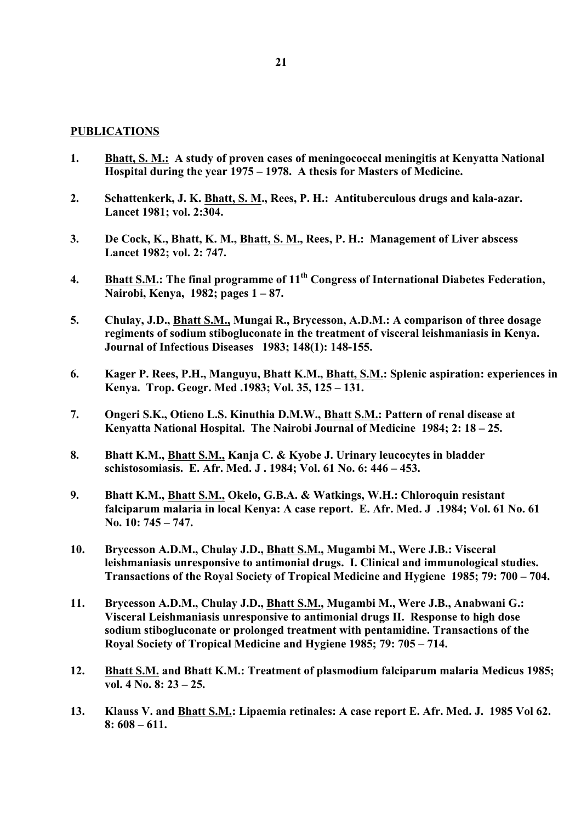#### **PUBLICATIONS**

- **1. Bhatt, S. M.: A study of proven cases of meningococcal meningitis at Kenyatta National Hospital during the year 1975 – 1978. A thesis for Masters of Medicine.**
- **2. Schattenkerk, J. K. Bhatt, S. M., Rees, P. H.: Antituberculous drugs and kala-azar. Lancet 1981; vol. 2:304.**
- **3. De Cock, K., Bhatt, K. M., Bhatt, S. M., Rees, P. H.: Management of Liver abscess Lancet 1982; vol. 2: 747.**
- **4. Bhatt S.M.: The final programme of 11th Congress of International Diabetes Federation, Nairobi, Kenya, 1982; pages 1 – 87.**
- **5. Chulay, J.D., Bhatt S.M., Mungai R., Brycesson, A.D.M.: A comparison of three dosage regiments of sodium stibogluconate in the treatment of visceral leishmaniasis in Kenya. Journal of Infectious Diseases 1983; 148(1): 148-155.**
- **6. Kager P. Rees, P.H., Manguyu, Bhatt K.M., Bhatt, S.M.: Splenic aspiration: experiences in Kenya. Trop. Geogr. Med .1983; Vol. 35, 125 – 131.**
- **7. Ongeri S.K., Otieno L.S. Kinuthia D.M.W., Bhatt S.M.: Pattern of renal disease at Kenyatta National Hospital. The Nairobi Journal of Medicine 1984; 2: 18 – 25.**
- **8. Bhatt K.M., Bhatt S.M., Kanja C. & Kyobe J. Urinary leucocytes in bladder schistosomiasis. E. Afr. Med. J . 1984; Vol. 61 No. 6: 446 – 453.**
- **9. Bhatt K.M., Bhatt S.M., Okelo, G.B.A. & Watkings, W.H.: Chloroquin resistant falciparum malaria in local Kenya: A case report. E. Afr. Med. J .1984; Vol. 61 No. 61 No. 10: 745 – 747.**
- **10. Brycesson A.D.M., Chulay J.D., Bhatt S.M., Mugambi M., Were J.B.: Visceral leishmaniasis unresponsive to antimonial drugs. I. Clinical and immunological studies. Transactions of the Royal Society of Tropical Medicine and Hygiene 1985; 79: 700 – 704.**
- **11. Brycesson A.D.M., Chulay J.D., Bhatt S.M., Mugambi M., Were J.B., Anabwani G.: Visceral Leishmaniasis unresponsive to antimonial drugs II. Response to high dose sodium stibogluconate or prolonged treatment with pentamidine. Transactions of the Royal Society of Tropical Medicine and Hygiene 1985; 79: 705 – 714.**
- **12. Bhatt S.M. and Bhatt K.M.: Treatment of plasmodium falciparum malaria Medicus 1985; vol. 4 No. 8: 23 – 25.**
- **13. Klauss V. and Bhatt S.M.: Lipaemia retinales: A case report E. Afr. Med. J. 1985 Vol 62. 8: 608 – 611.**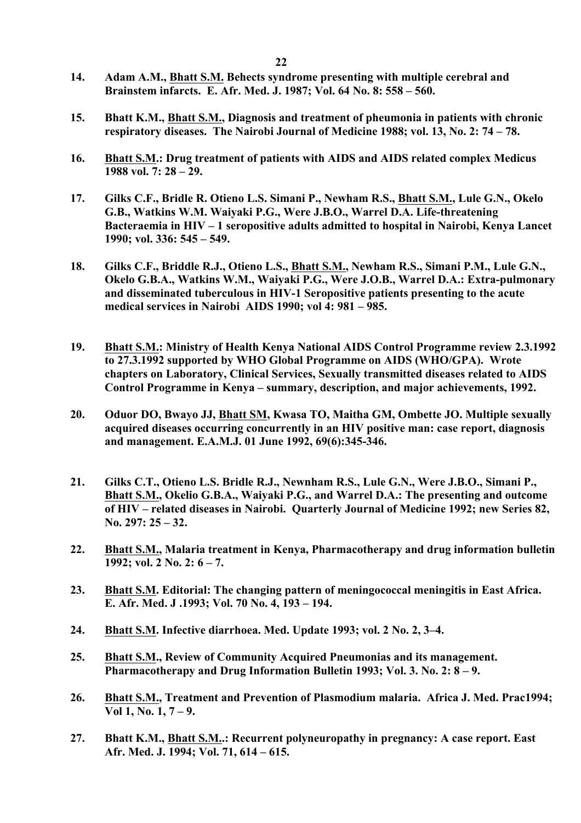- **14. Adam A.M., Bhatt S.M. Behects syndrome presenting with multiple cerebral and Brainstem infarcts. E. Afr. Med. J. 1987; Vol. 64 No. 8: 558 – 560.**
- **15. Bhatt K.M., Bhatt S.M., Diagnosis and treatment of pheumonia in patients with chronic respiratory diseases. The Nairobi Journal of Medicine 1988; vol. 13, No. 2: 74 – 78.**
- **16. Bhatt S.M.: Drug treatment of patients with AIDS and AIDS related complex Medicus 1988 vol. 7: 28 – 29.**
- **17. Gilks C.F., Bridle R. Otieno L.S. Simani P., Newham R.S., Bhatt S.M., Lule G.N., Okelo G.B., Watkins W.M. Waiyaki P.G., Were J.B.O., Warrel D.A. Life-threatening Bacteraemia in HIV – 1 seropositive adults admitted to hospital in Nairobi, Kenya Lancet 1990; vol. 336: 545 – 549.**
- **18. Gilks C.F., Briddle R.J., Otieno L.S., Bhatt S.M., Newham R.S., Simani P.M., Lule G.N., Okelo G.B.A., Watkins W.M., Waiyaki P.G., Were J.O.B., Warrel D.A.: Extra-pulmonary and disseminated tuberculous in HIV-1 Seropositive patients presenting to the acute medical services in Nairobi AIDS 1990; vol 4: 981 – 985.**
- **19. Bhatt S.M.: Ministry of Health Kenya National AIDS Control Programme review 2.3.1992 to 27.3.1992 supported by WHO Global Programme on AIDS (WHO/GPA). Wrote chapters on Laboratory, Clinical Services, Sexually transmitted diseases related to AIDS Control Programme in Kenya – summary, description, and major achievements, 1992.**
- **20. Oduor DO, Bwayo JJ, Bhatt SM, Kwasa TO, Maitha GM, Ombette JO. Multiple sexually acquired diseases occurring concurrently in an HIV positive man: case report, diagnosis and management. E.A.M.J. 01 June 1992, 69(6):345-346.**
- **21. Gilks C.T., Otieno L.S. Bridle R.J., Newnham R.S., Lule G.N., Were J.B.O., Simani P., Bhatt S.M., Okelio G.B.A., Waiyaki P.G., and Warrel D.A.: The presenting and outcome of HIV – related diseases in Nairobi. Quarterly Journal of Medicine 1992; new Series 82, No. 297: 25 – 32.**
- **22. Bhatt S.M., Malaria treatment in Kenya, Pharmacotherapy and drug information bulletin 1992; vol. 2 No. 2: 6 – 7.**
- **23. Bhatt S.M. Editorial: The changing pattern of meningococcal meningitis in East Africa. E. Afr. Med. J .1993; Vol. 70 No. 4, 193 – 194.**
- **24. Bhatt S.M. Infective diarrhoea. Med. Update 1993; vol. 2 No. 2, 3–4.**
- **25. Bhatt S.M., Review of Community Acquired Pneumonias and its management. Pharmacotherapy and Drug Information Bulletin 1993; Vol. 3. No. 2: 8 – 9.**
- **26. Bhatt S.M., Treatment and Prevention of Plasmodium malaria. Africa J. Med. Prac1994; Vol 1, No. 1, 7 – 9.**
- **27. Bhatt K.M., Bhatt S.M..: Recurrent polyneuropathy in pregnancy: A case report. East Afr. Med. J. 1994; Vol. 71, 614 – 615.**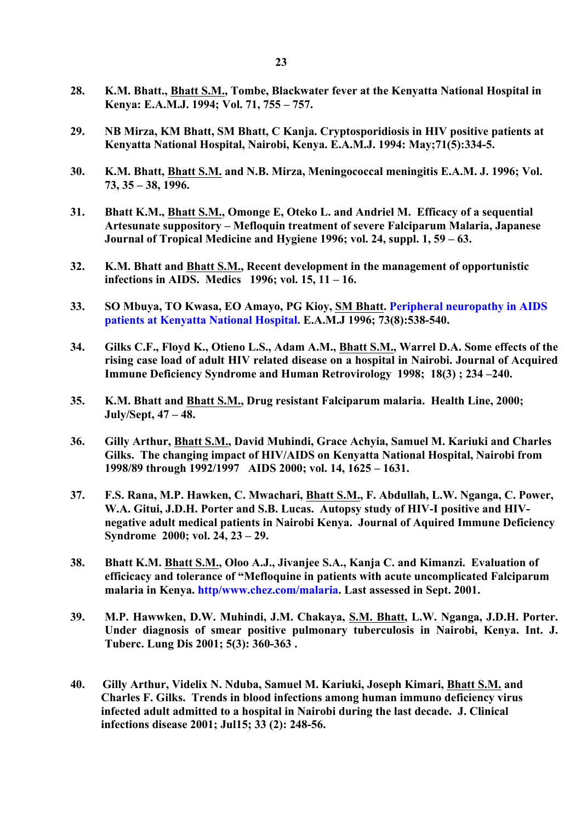- **28. K.M. Bhatt., Bhatt S.M., Tombe, Blackwater fever at the Kenyatta National Hospital in Kenya: E.A.M.J. 1994; Vol. 71, 755 – 757.**
- **29. NB Mirza, KM Bhatt, SM Bhatt, C Kanja. Cryptosporidiosis in HIV positive patients at Kenyatta National Hospital, Nairobi, Kenya. E.A.M.J. 1994: May;71(5):334-5.**
- **30. K.M. Bhatt, Bhatt S.M. and N.B. Mirza, Meningococcal meningitis E.A.M. J. 1996; Vol. 73, 35 – 38, 1996.**
- **31. Bhatt K.M., Bhatt S.M., Omonge E, Oteko L. and Andriel M. Efficacy of a sequential Artesunate suppository – Mefloquin treatment of severe Falciparum Malaria, Japanese Journal of Tropical Medicine and Hygiene 1996; vol. 24, suppl. 1, 59 – 63.**
- **32. K.M. Bhatt and Bhatt S.M., Recent development in the management of opportunistic infections in AIDS. Medics 1996; vol. 15, 11 – 16.**
- **33. SO Mbuya, TO Kwasa, EO Amayo, PG Kioy, SM Bhatt. Peripheral neuropathy in AIDS patients at Kenyatta National Hospital. E.A.M.J 1996; 73(8):538-540.**
- **34. Gilks C.F., Floyd K., Otieno L.S., Adam A.M., Bhatt S.M., Warrel D.A. Some effects of the rising case load of adult HIV related disease on a hospital in Nairobi. Journal of Acquired Immune Deficiency Syndrome and Human Retrovirology 1998; 18(3) ; 234 –240.**
- **35. K.M. Bhatt and Bhatt S.M., Drug resistant Falciparum malaria. Health Line, 2000; July/Sept, 47 – 48.**
- **36. Gilly Arthur, Bhatt S.M., David Muhindi, Grace Achyia, Samuel M. Kariuki and Charles Gilks. The changing impact of HIV/AIDS on Kenyatta National Hospital, Nairobi from 1998/89 through 1992/1997 AIDS 2000; vol. 14, 1625 – 1631.**
- **37. F.S. Rana, M.P. Hawken, C. Mwachari, Bhatt S.M., F. Abdullah, L.W. Nganga, C. Power, W.A. Gitui, J.D.H. Porter and S.B. Lucas. Autopsy study of HIV-I positive and HIVnegative adult medical patients in Nairobi Kenya. Journal of Aquired Immune Deficiency Syndrome 2000; vol. 24, 23 – 29.**
- **38. Bhatt K.M. Bhatt S.M., Oloo A.J., Jivanjee S.A., Kanja C. and Kimanzi. Evaluation of efficicacy and tolerance of "Mefloquine in patients with acute uncomplicated Falciparum malaria in Kenya. http/www.chez.com/malaria. Last assessed in Sept. 2001.**
- **39. M.P. Hawwken, D.W. Muhindi, J.M. Chakaya, S.M. Bhatt, L.W. Nganga, J.D.H. Porter. Under diagnosis of smear positive pulmonary tuberculosis in Nairobi, Kenya. Int. J. Tuberc. Lung Dis 2001; 5(3): 360-363 .**
- **40. Gilly Arthur, Videlix N. Nduba, Samuel M. Kariuki, Joseph Kimari, Bhatt S.M. and Charles F. Gilks. Trends in blood infections among human immuno deficiency virus infected adult admitted to a hospital in Nairobi during the last decade. J. Clinical infections disease 2001; Jul15; 33 (2): 248-56.**